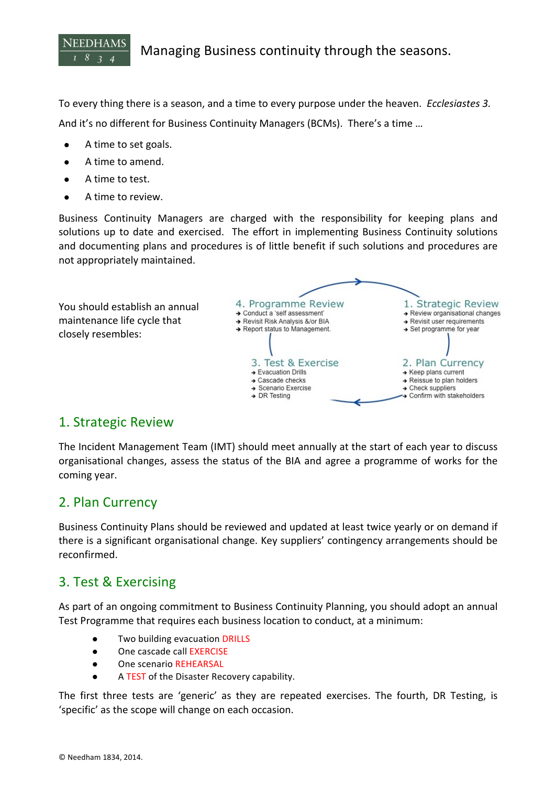

To every thing there is a season, and a time to every purpose under the heaven. *Ecclesiastes* 3. And it's no different for Business Continuity Managers (BCMs). There's a time ...

- A time to set goals.
- A time to amend.
- A time to test.
- A time to review.

Business Continuity Managers are charged with the responsibility for keeping plans and solutions up to date and exercised. The effort in implementing Business Continuity solutions and documenting plans and procedures is of little benefit if such solutions and procedures are not appropriately maintained.



## 1. Strategic Review

The Incident Management Team (IMT) should meet annually at the start of each year to discuss organisational changes, assess the status of the BIA and agree a programme of works for the coming year.

## 2. Plan Currency

Business Continuity Plans should be reviewed and updated at least twice yearly or on demand if there is a significant organisational change. Key suppliers' contingency arrangements should be reconfirmed.

## 3. Test & Exercising

As part of an ongoing commitment to Business Continuity Planning, you should adopt an annual Test Programme that requires each business location to conduct, at a minimum:

- Two building evacuation DRILLS
- One cascade call EXERCISE
- One scenario REHEARSAL
- A TEST of the Disaster Recovery capability.

The first three tests are 'generic' as they are repeated exercises. The fourth, DR Testing, is 'specific' as the scope will change on each occasion.